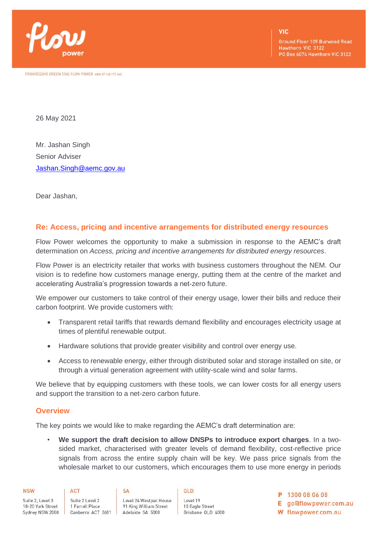

PROGRESSIVE GREEN T/AS FLOW POWER ABN 27 130 175 343

**VIC** 

**Ground Floor 109 Burwood Road** Hawthorn VIC 3122 PO Box 6074 Hawthorn VIC 3122

26 May 2021

Mr. Jashan Singh Senior Adviser [Jashan.Singh@aemc.gov.au](mailto:Jashan.Singh@aemc.gov.au)

Dear Jashan,

## **Re: Access, pricing and incentive arrangements for distributed energy resources**

Flow Power welcomes the opportunity to make a submission in response to the AEMC's draft determination on *Access, pricing and incentive arrangements for distributed energy resources*.

Flow Power is an electricity retailer that works with business customers throughout the NEM. Our vision is to redefine how customers manage energy, putting them at the centre of the market and accelerating Australia's progression towards a net-zero future.

We empower our customers to take control of their energy usage, lower their bills and reduce their carbon footprint. We provide customers with:

- Transparent retail tariffs that rewards demand flexibility and encourages electricity usage at times of plentiful renewable output.
- Hardware solutions that provide greater visibility and control over energy use.
- Access to renewable energy, either through distributed solar and storage installed on site, or through a virtual generation agreement with utility-scale wind and solar farms.

We believe that by equipping customers with these tools, we can lower costs for all energy users and support the transition to a net-zero carbon future.

## **Overview**

The key points we would like to make regarding the AEMC's draft determination are:

• **We support the draft decision to allow DNSPs to introduce export charges**. In a twosided market, characterised with greater levels of demand flexibility, cost-reflective price signals from across the entire supply chain will be key. We pass price signals from the wholesale market to our customers, which encourages them to use more energy in periods

| <b>NSW</b>       | ACT               | SА                     | 0LD               |
|------------------|-------------------|------------------------|-------------------|
| Suite 2, Level 3 | Suite 2 Level 2   | Level 24 Westpac House | Level 19          |
| 8-20 York Street | 1 Farrell Place   | 91 King William Street | 10 Eagle Street   |
| Sydney NSW 2000  | Canberra ACT 2601 | Adelaide SA 5000       | Brisbane QLD 4000 |

P 1300 08 06 08

E go@flowpower.com.au

W flowpower.com.au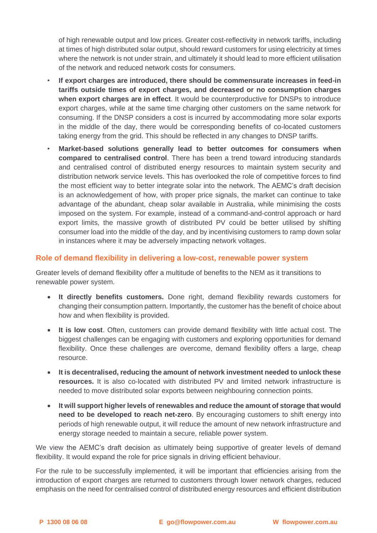of high renewable output and low prices. Greater cost-reflectivity in network tariffs, including at times of high distributed solar output, should reward customers for using electricity at times where the network is not under strain, and ultimately it should lead to more efficient utilisation of the network and reduced network costs for consumers.

- **If export charges are introduced, there should be commensurate increases in feed-in tariffs outside times of export charges, and decreased or no consumption charges when export charges are in effect**. It would be counterproductive for DNSPs to introduce export charges, while at the same time charging other customers on the same network for consuming. If the DNSP considers a cost is incurred by accommodating more solar exports in the middle of the day, there would be corresponding benefits of co-located customers taking energy from the grid. This should be reflected in any changes to DNSP tariffs.
- **Market-based solutions generally lead to better outcomes for consumers when compared to centralised control**. There has been a trend toward introducing standards and centralised control of distributed energy resources to maintain system security and distribution network service levels. This has overlooked the role of competitive forces to find the most efficient way to better integrate solar into the network. The AEMC's draft decision is an acknowledgement of how, with proper price signals, the market can continue to take advantage of the abundant, cheap solar available in Australia, while minimising the costs imposed on the system. For example, instead of a command-and-control approach or hard export limits, the massive growth of distributed PV could be better utilised by shifting consumer load into the middle of the day, and by incentivising customers to ramp down solar in instances where it may be adversely impacting network voltages.

## **Role of demand flexibility in delivering a low-cost, renewable power system**

Greater levels of demand flexibility offer a multitude of benefits to the NEM as it transitions to renewable power system.

- **It directly benefits customers.** Done right, demand flexibility rewards customers for changing their consumption pattern. Importantly, the customer has the benefit of choice about how and when flexibility is provided.
- **It is low cost**. Often, customers can provide demand flexibility with little actual cost. The biggest challenges can be engaging with customers and exploring opportunities for demand flexibility. Once these challenges are overcome, demand flexibility offers a large, cheap resource.
- **It is decentralised, reducing the amount of network investment needed to unlock these resources.** It is also co-located with distributed PV and limited network infrastructure is needed to move distributed solar exports between neighbouring connection points.
- **It will support higher levels of renewables and reduce the amount of storage that would need to be developed to reach net-zero**. By encouraging customers to shift energy into periods of high renewable output, it will reduce the amount of new network infrastructure and energy storage needed to maintain a secure, reliable power system.

We view the AEMC's draft decision as ultimately being supportive of greater levels of demand flexibility. It would expand the role for price signals in driving efficient behaviour.

For the rule to be successfully implemented, it will be important that efficiencies arising from the introduction of export charges are returned to customers through lower network charges, reduced emphasis on the need for centralised control of distributed energy resources and efficient distribution